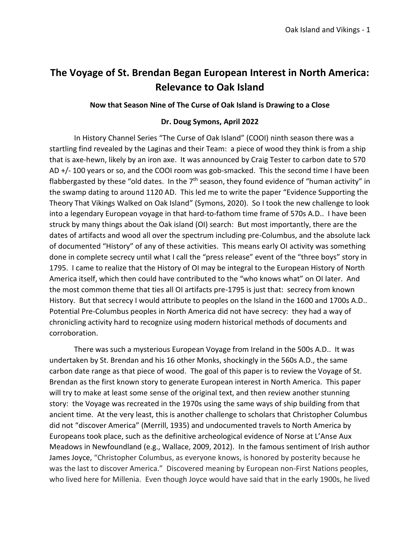# **The Voyage of St. Brendan Began European Interest in North America: Relevance to Oak Island**

#### **Now that Season Nine of The Curse of Oak Island is Drawing to a Close**

#### **Dr. Doug Symons, April 2022**

In History Channel Series "The Curse of Oak Island" (COOI) ninth season there was a startling find revealed by the Laginas and their Team: a piece of wood they think is from a ship that is axe-hewn, likely by an iron axe. It was announced by Craig Tester to carbon date to 570 AD +/- 100 years or so, and the COOI room was gob-smacked. This the second time I have been flabbergasted by these "old dates. In the 7<sup>th</sup> season, they found evidence of "human activity" in the swamp dating to around 1120 AD. This led me to write the paper "Evidence Supporting the Theory That Vikings Walked on Oak Island" (Symons, 2020). So I took the new challenge to look into a legendary European voyage in that hard-to-fathom time frame of 570s A.D.. I have been struck by many things about the Oak island (OI) search: But most importantly, there are the dates of artifacts and wood all over the spectrum including pre-Columbus, and the absolute lack of documented "History" of any of these activities. This means early OI activity was something done in complete secrecy until what I call the "press release" event of the "three boys" story in 1795. I came to realize that the History of OI may be integral to the European History of North America itself, which then could have contributed to the "who knows what" on OI later. And the most common theme that ties all OI artifacts pre-1795 is just that: secrecy from known History. But that secrecy I would attribute to peoples on the Island in the 1600 and 1700s A.D.. Potential Pre-Columbus peoples in North America did not have secrecy: they had a way of chronicling activity hard to recognize using modern historical methods of documents and corroboration.

There was such a mysterious European Voyage from Ireland in the 500s A.D.. It was undertaken by St. Brendan and his 16 other Monks, shockingly in the 560s A.D., the same carbon date range as that piece of wood. The goal of this paper is to review the Voyage of St. Brendan as the first known story to generate European interest in North America. This paper will try to make at least some sense of the original text, and then review another stunning story: the Voyage was recreated in the 1970s using the same ways of ship building from that ancient time. At the very least, this is another challenge to scholars that Christopher Columbus did not "discover America" (Merrill, 1935) and undocumented travels to North America by Europeans took place, such as the definitive archeological evidence of Norse at L'Anse Aux Meadows in Newfoundland (e.g., Wallace, 2009, 2012). In the famous sentiment of Irish author James Joyce, "Christopher Columbus, as everyone knows, is honored by posterity because he was the last to discover America." Discovered meaning by European non-First Nations peoples, who lived here for Millenia. Even though Joyce would have said that in the early 1900s, he lived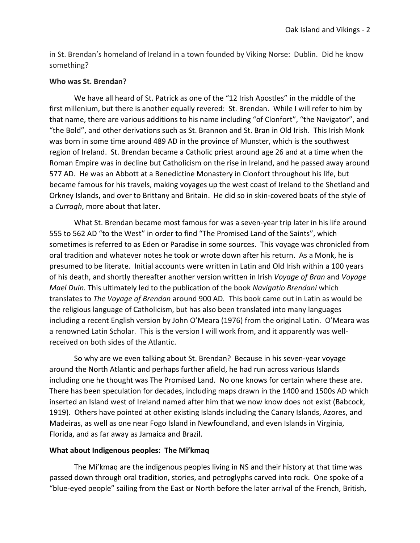in St. Brendan's homeland of Ireland in a town founded by Viking Norse: Dublin. Did he know something?

## **Who was St. Brendan?**

We have all heard of St. Patrick as one of the "12 Irish Apostles" in the middle of the first millenium, but there is another equally revered: St. Brendan. While I will refer to him by that name, there are various additions to his name including "of Clonfort", "the Navigator", and "the Bold", and other derivations such as St. Brannon and St. Bran in Old Irish. This Irish Monk was born in some time around 489 AD in the province of Munster, which is the southwest region of Ireland. St. Brendan became a Catholic priest around age 26 and at a time when the Roman Empire was in decline but Catholicism on the rise in Ireland, and he passed away around 577 AD. He was an Abbott at a Benedictine Monastery in Clonfort throughout his life, but became famous for his travels, making voyages up the west coast of Ireland to the Shetland and Orkney Islands, and over to Brittany and Britain. He did so in skin-covered boats of the style of a *Curragh*, more about that later.

What St. Brendan became most famous for was a seven-year trip later in his life around 555 to 562 AD "to the West" in order to find "The Promised Land of the Saints", which sometimes is referred to as Eden or Paradise in some sources. This voyage was chronicled from oral tradition and whatever notes he took or wrote down after his return. As a Monk, he is presumed to be literate. Initial accounts were written in Latin and Old Irish within a 100 years of his death, and shortly thereafter another version written in Irish *Voyage of Bran* and *Voyage Mael Duin.* This ultimately led to the publication of the book *Navigatio Brendani* which translates to *The Voyage of Brendan* around 900 AD*.* This book came out in Latin as would be the religious language of Catholicism, but has also been translated into many languages including a recent English version by John O'Meara (1976) from the original Latin. O'Meara was a renowned Latin Scholar. This is the version I will work from, and it apparently was wellreceived on both sides of the Atlantic.

So why are we even talking about St. Brendan? Because in his seven-year voyage around the North Atlantic and perhaps further afield, he had run across various Islands including one he thought was The Promised Land. No one knows for certain where these are. There has been speculation for decades, including maps drawn in the 1400 and 1500s AD which inserted an Island west of Ireland named after him that we now know does not exist (Babcock, 1919). Others have pointed at other existing Islands including the Canary Islands, Azores, and Madeiras, as well as one near Fogo Island in Newfoundland, and even Islands in Virginia, Florida, and as far away as Jamaica and Brazil.

## **What about Indigenous peoples: The Mi'kmaq**

The Mi'kmaq are the indigenous peoples living in NS and their history at that time was passed down through oral tradition, stories, and petroglyphs carved into rock. One spoke of a "blue-eyed people" sailing from the East or North before the later arrival of the French, British,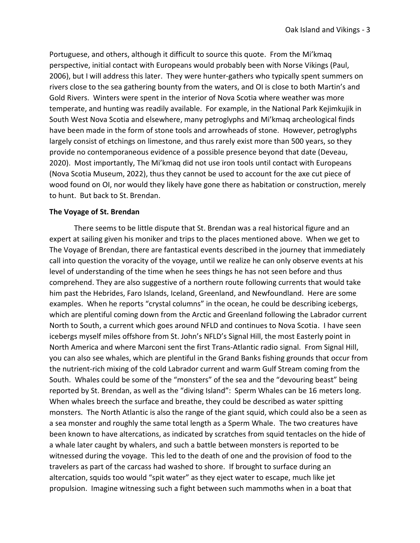Portuguese, and others, although it difficult to source this quote. From the Mi'kmaq perspective, initial contact with Europeans would probably been with Norse Vikings (Paul, 2006), but I will address this later. They were hunter-gathers who typically spent summers on rivers close to the sea gathering bounty from the waters, and OI is close to both Martin's and Gold Rivers. Winters were spent in the interior of Nova Scotia where weather was more temperate, and hunting was readily available. For example, in the National Park Kejimkujik in South West Nova Scotia and elsewhere, many petroglyphs and Mi'kmaq archeological finds have been made in the form of stone tools and arrowheads of stone. However, petroglyphs largely consist of etchings on limestone, and thus rarely exist more than 500 years, so they provide no contemporaneous evidence of a possible presence beyond that date (Deveau, 2020). Most importantly, The Mi'kmaq did not use iron tools until contact with Europeans (Nova Scotia Museum, 2022), thus they cannot be used to account for the axe cut piece of wood found on OI, nor would they likely have gone there as habitation or construction, merely to hunt. But back to St. Brendan.

#### **The Voyage of St. Brendan**

There seems to be little dispute that St. Brendan was a real historical figure and an expert at sailing given his moniker and trips to the places mentioned above. When we get to The Voyage of Brendan, there are fantastical events described in the journey that immediately call into question the voracity of the voyage, until we realize he can only observe events at his level of understanding of the time when he sees things he has not seen before and thus comprehend. They are also suggestive of a northern route following currents that would take him past the Hebrides, Faro Islands, Iceland, Greenland, and Newfoundland. Here are some examples. When he reports "crystal columns" in the ocean, he could be describing icebergs, which are plentiful coming down from the Arctic and Greenland following the Labrador current North to South, a current which goes around NFLD and continues to Nova Scotia. I have seen icebergs myself miles offshore from St. John's NFLD's Signal Hill, the most Easterly point in North America and where Marconi sent the first Trans-Atlantic radio signal. From Signal Hill, you can also see whales, which are plentiful in the Grand Banks fishing grounds that occur from the nutrient-rich mixing of the cold Labrador current and warm Gulf Stream coming from the South. Whales could be some of the "monsters" of the sea and the "devouring beast" being reported by St. Brendan, as well as the "diving Island": Sperm Whales can be 16 meters long. When whales breech the surface and breathe, they could be described as water spitting monsters. The North Atlantic is also the range of the giant squid, which could also be a seen as a sea monster and roughly the same total length as a Sperm Whale. The two creatures have been known to have altercations, as indicated by scratches from squid tentacles on the hide of a whale later caught by whalers, and such a battle between monsters is reported to be witnessed during the voyage. This led to the death of one and the provision of food to the travelers as part of the carcass had washed to shore. If brought to surface during an altercation, squids too would "spit water" as they eject water to escape, much like jet propulsion. Imagine witnessing such a fight between such mammoths when in a boat that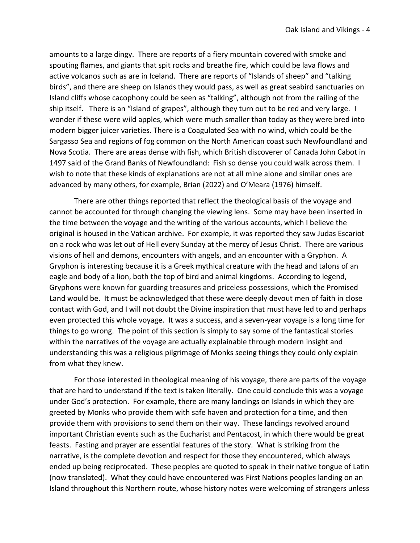amounts to a large dingy. There are reports of a fiery mountain covered with smoke and spouting flames, and giants that spit rocks and breathe fire, which could be lava flows and active volcanos such as are in Iceland. There are reports of "Islands of sheep" and "talking birds", and there are sheep on Islands they would pass, as well as great seabird sanctuaries on Island cliffs whose cacophony could be seen as "talking", although not from the railing of the ship itself. There is an "Island of grapes", although they turn out to be red and very large. I wonder if these were wild apples, which were much smaller than today as they were bred into modern bigger juicer varieties. There is a Coagulated Sea with no wind, which could be the Sargasso Sea and regions of fog common on the North American coast such Newfoundland and Nova Scotia. There are areas dense with fish, which British discoverer of Canada John Cabot in 1497 said of the Grand Banks of Newfoundland: Fish so dense you could walk across them. I wish to note that these kinds of explanations are not at all mine alone and similar ones are advanced by many others, for example, Brian (2022) and O'Meara (1976) himself.

There are other things reported that reflect the theological basis of the voyage and cannot be accounted for through changing the viewing lens. Some may have been inserted in the time between the voyage and the writing of the various accounts, which I believe the original is housed in the Vatican archive. For example, it was reported they saw Judas Escariot on a rock who was let out of Hell every Sunday at the mercy of Jesus Christ. There are various visions of hell and demons, encounters with angels, and an encounter with a Gryphon. A Gryphon is interesting because it is a Greek mythical creature with the head and talons of an eagle and body of a lion, both the top of bird and animal kingdoms. According to legend, Gryphons were known for guarding treasures and priceless possessions, which the Promised Land would be. It must be acknowledged that these were deeply devout men of faith in close contact with God, and I will not doubt the Divine inspiration that must have led to and perhaps even protected this whole voyage. It was a success, and a seven-year voyage is a long time for things to go wrong. The point of this section is simply to say some of the fantastical stories within the narratives of the voyage are actually explainable through modern insight and understanding this was a religious pilgrimage of Monks seeing things they could only explain from what they knew.

For those interested in theological meaning of his voyage, there are parts of the voyage that are hard to understand if the text is taken literally. One could conclude this was a voyage under God's protection. For example, there are many landings on Islands in which they are greeted by Monks who provide them with safe haven and protection for a time, and then provide them with provisions to send them on their way. These landings revolved around important Christian events such as the Eucharist and Pentacost, in which there would be great feasts. Fasting and prayer are essential features of the story. What is striking from the narrative, is the complete devotion and respect for those they encountered, which always ended up being reciprocated. These peoples are quoted to speak in their native tongue of Latin (now translated). What they could have encountered was First Nations peoples landing on an Island throughout this Northern route, whose history notes were welcoming of strangers unless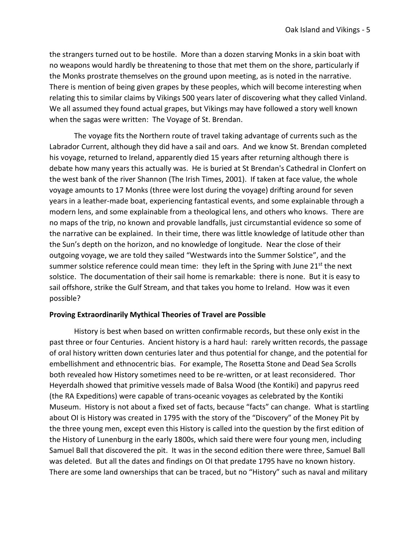the strangers turned out to be hostile. More than a dozen starving Monks in a skin boat with no weapons would hardly be threatening to those that met them on the shore, particularly if the Monks prostrate themselves on the ground upon meeting, as is noted in the narrative. There is mention of being given grapes by these peoples, which will become interesting when relating this to similar claims by Vikings 500 years later of discovering what they called Vinland. We all assumed they found actual grapes, but Vikings may have followed a story well known when the sagas were written: The Voyage of St. Brendan.

The voyage fits the Northern route of travel taking advantage of currents such as the Labrador Current, although they did have a sail and oars. And we know St. Brendan completed his voyage, returned to Ireland, apparently died 15 years after returning although there is debate how many years this actually was. He is buried at St Brendan's Cathedral in Clonfert on the west bank of the river Shannon (The Irish Times, 2001). If taken at face value, the whole voyage amounts to 17 Monks (three were lost during the voyage) drifting around for seven years in a leather-made boat, experiencing fantastical events, and some explainable through a modern lens, and some explainable from a theological lens, and others who knows. There are no maps of the trip, no known and provable landfalls, just circumstantial evidence so some of the narrative can be explained. In their time, there was little knowledge of latitude other than the Sun's depth on the horizon, and no knowledge of longitude. Near the close of their outgoing voyage, we are told they sailed "Westwards into the Summer Solstice", and the summer solstice reference could mean time: they left in the Spring with June  $21<sup>st</sup>$  the next solstice. The documentation of their sail home is remarkable: there is none. But it is easy to sail offshore, strike the Gulf Stream, and that takes you home to Ireland. How was it even possible?

## **Proving Extraordinarily Mythical Theories of Travel are Possible**

History is best when based on written confirmable records, but these only exist in the past three or four Centuries. Ancient history is a hard haul: rarely written records, the passage of oral history written down centuries later and thus potential for change, and the potential for embellishment and ethnocentric bias. For example, The Rosetta Stone and Dead Sea Scrolls both revealed how History sometimes need to be re-written, or at least reconsidered. Thor Heyerdalh showed that primitive vessels made of Balsa Wood (the Kontiki) and papyrus reed (the RA Expeditions) were capable of trans-oceanic voyages as celebrated by the Kontiki Museum. History is not about a fixed set of facts, because "facts" can change. What is startling about OI is History was created in 1795 with the story of the "Discovery" of the Money Pit by the three young men, except even this History is called into the question by the first edition of the History of Lunenburg in the early 1800s, which said there were four young men, including Samuel Ball that discovered the pit. It was in the second edition there were three, Samuel Ball was deleted. But all the dates and findings on OI that predate 1795 have no known history. There are some land ownerships that can be traced, but no "History" such as naval and military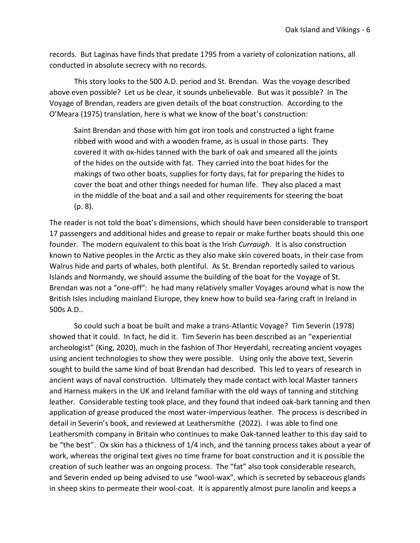records. But Laginas have finds that predate 1795 from a variety of colonization nations, all conducted in absolute secrecy with no records.

This story looks to the 500 A.D. period and St. Brendan. Was the voyage described above even possible? Let us be clear, it sounds unbelievable. But was it possible? In The Voyage of Brendan, readers are given details of the boat construction. According to the O'Meara (1975) translation, here is what we know of the boat's construction:

Saint Brendan and those with him got iron tools and constructed a light frame ribbed with wood and with a wooden frame, as is usual in those parts. They covered it with ox-hides tanned with the bark of oak and smeared all the joints of the hides on the outside with fat. They carried into the boat hides for the makings of two other boats, supplies for forty days, fat for preparing the hides to cover the boat and other things needed for human life. They also placed a mast in the middle of the boat and a sail and other requirements for steering the boat (p. 8).

The reader is not told the boat's dimensions, which should have been considerable to transport 17 passengers and additional hides and grease to repair or make further boats should this one founder. The modern equivalent to this boat is the Irish *Curraugh*. It is also construction known to Native peoples in the Arctic as they also make skin covered boats, in their case from Walrus hide and parts of whales, both plentiful. As St. Brendan reportedly sailed to various Islands and Normandy, we should assume the building of the boat for the Voyage of St. Brendan was not a "one-off": he had many relatively smaller Voyages around what is now the British Isles including mainland Eiurope, they knew how to build sea-faring craft in Ireland in 500s A.D..

So could such a boat be built and make a trans-Atlantic Voyage? Tim Severin (1978) showed that it could. In fact, he did it. Tim Severin has been described as an "experiential archeologist" (King, 2020), much in the fashion of Thor Heyerdahl, recreating ancient voyages using ancient technologies to show they were possible. Using only the above text, Severin sought to build the same kind of boat Brendan had described. This led to years of research in ancient ways of naval construction. Ultimately they made contact with local Master tanners and Harness makers in the UK and Ireland familiar with the old ways of tanning and stitching leather. Considerable testing took place, and they found that indeed oak-bark tanning and then application of grease produced the most water-impervious leather. The process is described in detail in Severin's book, and reviewed at Leathersmithe (2022). I was able to find one Leathersmith company in Britain who continues to make Oak-tanned leather to this day said to be "the best". Ox skin has a thickness of 1/4 inch, and the tanning process takes about a year of work, whereas the original text gives no time frame for boat construction and it is possible the creation of such leather was an ongoing process. The "fat" also took considerable research, and Severin ended up being advised to use "wool-wax", which is secreted by sebaceous glands in sheep skins to permeate their wool-coat. It is apparently almost pure lanolin and keeps a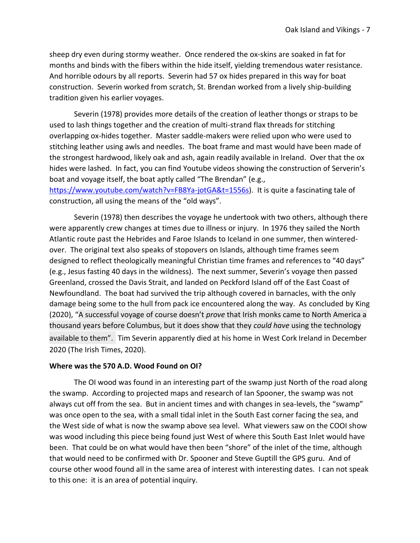sheep dry even during stormy weather. Once rendered the ox-skins are soaked in fat for months and binds with the fibers within the hide itself, yielding tremendous water resistance. And horrible odours by all reports. Severin had 57 ox hides prepared in this way for boat construction. Severin worked from scratch, St. Brendan worked from a lively ship-building tradition given his earlier voyages.

Severin (1978) provides more details of the creation of leather thongs or straps to be used to lash things together and the creation of multi-strand flax threads for stitching overlapping ox-hides together. Master saddle-makers were relied upon who were used to stitching leather using awls and needles. The boat frame and mast would have been made of the strongest hardwood, likely oak and ash, again readily available in Ireland. Over that the ox hides were lashed. In fact, you can find Youtube videos showing the construction of Serverin's boat and voyage itself, the boat aptly called "The Brendan" (e.g.,

[https://www.youtube.com/watch?v=FB8Ya-jotGA&t=1556s\)](https://www.youtube.com/watch?v=FB8Ya-jotGA&t=1556s). It is quite a fascinating tale of construction, all using the means of the "old ways".

Severin (1978) then describes the voyage he undertook with two others, although there were apparently crew changes at times due to illness or injury. In 1976 they sailed the North Atlantic route past the Hebrides and Faroe Islands to Iceland in one summer, then winteredover. The original text also speaks of stopovers on Islands, although time frames seem designed to reflect theologically meaningful Christian time frames and references to "40 days" (e.g., Jesus fasting 40 days in the wildness). The next summer, Severin's voyage then passed Greenland, crossed the Davis Strait, and landed on Peckford Island off of the East Coast of Newfoundland. The boat had survived the trip although covered in barnacles, with the only damage being some to the hull from pack ice encountered along the way. As concluded by King (2020), "A successful voyage of course doesn't *prove* that Irish monks came to North America a thousand years before Columbus, but it does show that they *could have* using the technology available to them". Tim Severin apparently died at his home in West Cork Ireland in December 2020 (The Irish Times, 2020).

## **Where was the 570 A.D. Wood Found on OI?**

The OI wood was found in an interesting part of the swamp just North of the road along the swamp. According to projected maps and research of Ian Spooner, the swamp was not always cut off from the sea. But in ancient times and with changes in sea-levels, the "swamp" was once open to the sea, with a small tidal inlet in the South East corner facing the sea, and the West side of what is now the swamp above sea level. What viewers saw on the COOI show was wood including this piece being found just West of where this South East Inlet would have been. That could be on what would have then been "shore" of the inlet of the time, although that would need to be confirmed with Dr. Spooner and Steve Guptill the GPS guru. And of course other wood found all in the same area of interest with interesting dates. I can not speak to this one: it is an area of potential inquiry.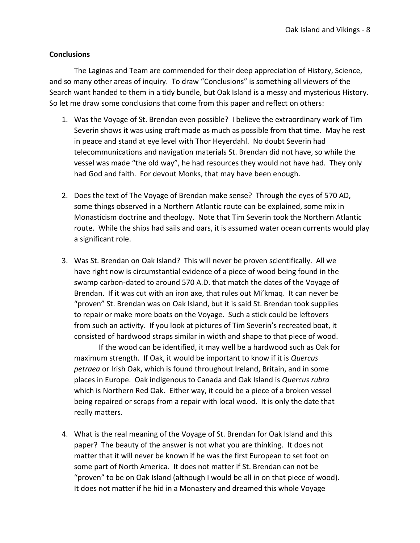## **Conclusions**

The Laginas and Team are commended for their deep appreciation of History, Science, and so many other areas of inquiry. To draw "Conclusions" is something all viewers of the Search want handed to them in a tidy bundle, but Oak Island is a messy and mysterious History. So let me draw some conclusions that come from this paper and reflect on others:

- 1. Was the Voyage of St. Brendan even possible? I believe the extraordinary work of Tim Severin shows it was using craft made as much as possible from that time. May he rest in peace and stand at eye level with Thor Heyerdahl. No doubt Severin had telecommunications and navigation materials St. Brendan did not have, so while the vessel was made "the old way", he had resources they would not have had. They only had God and faith. For devout Monks, that may have been enough.
- 2. Does the text of The Voyage of Brendan make sense? Through the eyes of 570 AD, some things observed in a Northern Atlantic route can be explained, some mix in Monasticism doctrine and theology. Note that Tim Severin took the Northern Atlantic route. While the ships had sails and oars, it is assumed water ocean currents would play a significant role.
- 3. Was St. Brendan on Oak Island? This will never be proven scientifically. All we have right now is circumstantial evidence of a piece of wood being found in the swamp carbon-dated to around 570 A.D. that match the dates of the Voyage of Brendan. If it was cut with an iron axe, that rules out Mi'kmaq. It can never be "proven" St. Brendan was on Oak Island, but it is said St. Brendan took supplies to repair or make more boats on the Voyage. Such a stick could be leftovers from such an activity. If you look at pictures of Tim Severin's recreated boat, it consisted of hardwood straps similar in width and shape to that piece of wood.

If the wood can be identified, it may well be a hardwood such as Oak for maximum strength. If Oak, it would be important to know if it is *[Quercus](https://en.wikipedia.org/wiki/Quercus_petraea)  [petraea](https://en.wikipedia.org/wiki/Quercus_petraea)* or Irish Oak, which is found throughout Ireland, Britain, and in some places in Europe. Oak indigenous to Canada and Oak Island is *Quercus rubra* which is Northern Red Oak. Either way, it could be a piece of a broken vessel being repaired or scraps from a repair with local wood. It is only the date that really matters.

4. What is the real meaning of the Voyage of St. Brendan for Oak Island and this paper? The beauty of the answer is not what you are thinking. It does not matter that it will never be known if he was the first European to set foot on some part of North America. It does not matter if St. Brendan can not be "proven" to be on Oak Island (although I would be all in on that piece of wood). It does not matter if he hid in a Monastery and dreamed this whole Voyage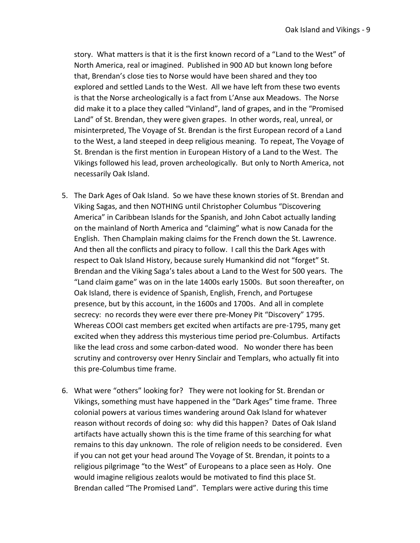story. What matters is that it is the first known record of a "Land to the West" of North America, real or imagined. Published in 900 AD but known long before that, Brendan's close ties to Norse would have been shared and they too explored and settled Lands to the West. All we have left from these two events is that the Norse archeologically is a fact from L'Anse aux Meadows. The Norse did make it to a place they called "Vinland", land of grapes, and in the "Promised Land" of St. Brendan, they were given grapes. In other words, real, unreal, or misinterpreted, The Voyage of St. Brendan is the first European record of a Land to the West, a land steeped in deep religious meaning. To repeat, The Voyage of St. Brendan is the first mention in European History of a Land to the West. The Vikings followed his lead, proven archeologically. But only to North America, not necessarily Oak Island.

- 5. The Dark Ages of Oak Island. So we have these known stories of St. Brendan and Viking Sagas, and then NOTHING until Christopher Columbus "Discovering America" in Caribbean Islands for the Spanish, and John Cabot actually landing on the mainland of North America and "claiming" what is now Canada for the English. Then Champlain making claims for the French down the St. Lawrence. And then all the conflicts and piracy to follow. I call this the Dark Ages with respect to Oak Island History, because surely Humankind did not "forget" St. Brendan and the Viking Saga's tales about a Land to the West for 500 years. The "Land claim game" was on in the late 1400s early 1500s. But soon thereafter, on Oak Island, there is evidence of Spanish, English, French, and Portugese presence, but by this account, in the 1600s and 1700s. And all in complete secrecy: no records they were ever there pre-Money Pit "Discovery" 1795. Whereas COOI cast members get excited when artifacts are pre-1795, many get excited when they address this mysterious time period pre-Columbus. Artifacts like the lead cross and some carbon-dated wood. No wonder there has been scrutiny and controversy over Henry Sinclair and Templars, who actually fit into this pre-Columbus time frame.
- 6. What were "others" looking for? They were not looking for St. Brendan or Vikings, something must have happened in the "Dark Ages" time frame. Three colonial powers at various times wandering around Oak Island for whatever reason without records of doing so: why did this happen? Dates of Oak Island artifacts have actually shown this is the time frame of this searching for what remains to this day unknown. The role of religion needs to be considered. Even if you can not get your head around The Voyage of St. Brendan, it points to a religious pilgrimage "to the West" of Europeans to a place seen as Holy. One would imagine religious zealots would be motivated to find this place St. Brendan called "The Promised Land". Templars were active during this time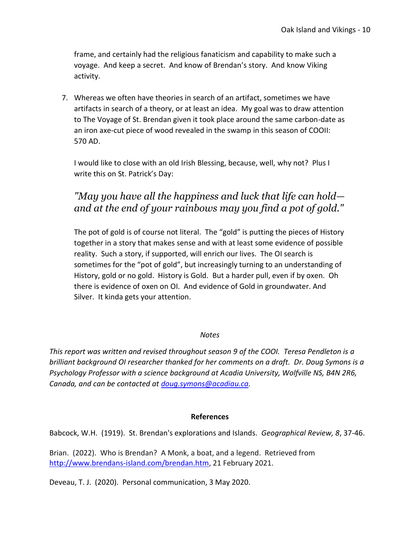frame, and certainly had the religious fanaticism and capability to make such a voyage. And keep a secret. And know of Brendan's story. And know Viking activity.

7. Whereas we often have theories in search of an artifact, sometimes we have artifacts in search of a theory, or at least an idea. My goal was to draw attention to The Voyage of St. Brendan given it took place around the same carbon-date as an iron axe-cut piece of wood revealed in the swamp in this season of COOII: 570 AD.

I would like to close with an old Irish Blessing, because, well, why not? Plus I write this on St. Patrick's Day:

## *"May you have all the happiness and luck that life can hold and at the end of your rainbows may you find a pot of gold."*

The pot of gold is of course not literal. The "gold" is putting the pieces of History together in a story that makes sense and with at least some evidence of possible reality. Such a story, if supported, will enrich our lives. The OI search is sometimes for the "pot of gold", but increasingly turning to an understanding of History, gold or no gold. History is Gold. But a harder pull, even if by oxen. Oh there is evidence of oxen on OI. And evidence of Gold in groundwater. And Silver. It kinda gets your attention.

## *Notes*

*This report was written and revised throughout season 9 of the COOI. Teresa Pendleton is a brilliant background OI researcher thanked for her comments on a draft. Dr. Doug Symons is a Psychology Professor with a science background at Acadia University, Wolfville NS, B4N 2R6, Canada, and can be contacted at [doug.symons@acadiau.ca.](mailto:doug.symons@acadiau.ca)* 

#### **References**

Babcock, W.H. (1919). St. Brendan's explorations and Islands. *Geographical Review, 8*, 37-46.

Brian. (2022). Who is Brendan? A Monk, a boat, and a legend. Retrieved from [http://www.brendans-island.com/brendan.htm,](http://www.brendans-island.com/brendan.htm) 21 February 2021.

Deveau, T. J. (2020). Personal communication, 3 May 2020.